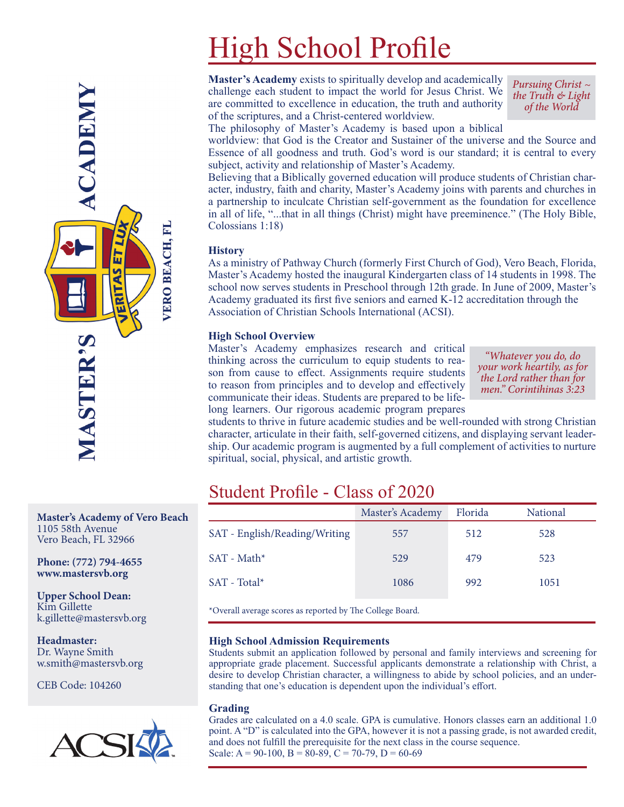# High School Profile

**Master's Academy** exists to spiritually develop and academically challenge each student to impact the world for Jesus Christ. We are committed to excellence in education, the truth and authority of the scriptures, and a Christ-centered worldview.

*Pursuing Christ ~ the Truth & Light of the World*

The philosophy of Master's Academy is based upon a biblical

worldview: that God is the Creator and Sustainer of the universe and the Source and Essence of all goodness and truth. God's word is our standard; it is central to every subject, activity and relationship of Master's Academy.

Believing that a Biblically governed education will produce students of Christian character, industry, faith and charity, Master's Academy joins with parents and churches in a partnership to inculcate Christian self-government as the foundation for excellence in all of life, "...that in all things (Christ) might have preeminence." (The Holy Bible, Colossians 1:18)

#### **History**

As a ministry of Pathway Church (formerly First Church of God), Vero Beach, Florida, Master's Academy hosted the inaugural Kindergarten class of 14 students in 1998. The school now serves students in Preschool through 12th grade. In June of 2009, Master's Academy graduated its first five seniors and earned K-12 accreditation through the Association of Christian Schools International (ACSI).

#### **High School Overview**

Master's Academy emphasizes research and critical thinking across the curriculum to equip students to reason from cause to effect. Assignments require students to reason from principles and to develop and effectively communicate their ideas. Students are prepared to be lifelong learners. Our rigorous academic program prepares

*"Whatever you do, do your work heartily, as for the Lord rather than for men." Corintihinas 3:23*

students to thrive in future academic studies and be well-rounded with strong Christian character, articulate in their faith, self-governed citizens, and displaying servant leadership. Our academic program is augmented by a full complement of activities to nurture spiritual, social, physical, and artistic growth.

## Student Profile - Class of 2020

|                               | Master's Academy | Florida | <b>National</b> |  |  |
|-------------------------------|------------------|---------|-----------------|--|--|
| SAT - English/Reading/Writing | 557              | 512     | 528             |  |  |
| $SAT - Math*$                 | 529              | 479     | 523             |  |  |
| $SAT - Total*$                | 1086             | 992     | 1051            |  |  |
| $\sim$ 11 $\sim$ 11 $\sim$ 1  |                  |         |                 |  |  |

\*Overall average scores as reported by The College Board.

#### **High School Admission Requirements**

Students submit an application followed by personal and family interviews and screening for appropriate grade placement. Successful applicants demonstrate a relationship with Christ, a desire to develop Christian character, a willingness to abide by school policies, and an understanding that one's education is dependent upon the individual's effort.

#### **Grading**

Grades are calculated on a 4.0 scale. GPA is cumulative. Honors classes earn an additional 1.0 point. A "D" is calculated into the GPA, however it is not a passing grade, is not awarded credit, and does not fulfill the prerequisite for the next class in the course sequence. Scale:  $A = 90-100$ ,  $B = 80-89$ ,  $C = 70-79$ ,  $D = 60-69$ 



**Master's Academy of Vero Beach** 1105 58th Avenue Vero Beach, FL 32966

**Phone: (772) 794-4655 www.mastersvb.org**

**Upper School Dean:** Kim Gillette k.gillette@mastersvb.org

**Headmaster:** Dr. Wayne Smith w.smith@mastersvb.org

CEB Code: 104260